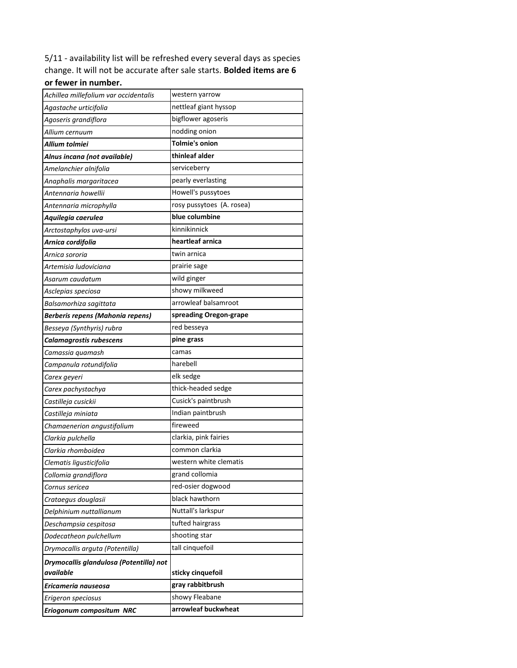5/11 - availability list will be refreshed every several days as species change. It will not be accurate after sale starts. **Bolded items are 6 or fewer in number.**

| Achillea millefolium var occidentalis                | western yarrow            |
|------------------------------------------------------|---------------------------|
| Agastache urticifolia                                | nettleaf giant hyssop     |
| Agoseris grandiflora                                 | bigflower agoseris        |
| Allium cernuum                                       | nodding onion             |
| Allium tolmiei                                       | <b>Tolmie's onion</b>     |
| Alnus incana (not available)                         | thinleaf alder            |
| Amelanchier alnifolia                                | serviceberry              |
| Anaphalis margaritacea                               | pearly everlasting        |
| Antennaria howellii                                  | Howell's pussytoes        |
| Antennaria microphylla                               | rosy pussytoes (A. rosea) |
| Aquilegia caerulea                                   | blue columbine            |
| Arctostaphylos uva-ursi                              | kinnikinnick              |
| Arnica cordifolia                                    | heartleaf arnica          |
| Arnica sororia                                       | twin arnica               |
| Artemisia ludoviciana                                | prairie sage              |
| Asarum caudatum                                      | wild ginger               |
| Asclepias speciosa                                   | showy milkweed            |
| Balsamorhiza sagittata                               | arrowleaf balsamroot      |
| <b>Berberis repens (Mahonia repens)</b>              | spreading Oregon-grape    |
| Besseya (Synthyris) rubra                            | red besseya               |
| Calamagrostis rubescens                              | pine grass                |
| Camassia quamash                                     | camas                     |
| Campanula rotundifolia                               | harebell                  |
| Carex geyeri                                         | elk sedge                 |
| Carex pachystachya                                   | thick-headed sedge        |
| Castilleja cusickii                                  | Cusick's paintbrush       |
| Castilleja miniata                                   | Indian paintbrush         |
| Chamaenerion angustifolium                           | fireweed                  |
| Clarkia pulchella                                    | clarkia, pink fairies     |
| Clarkia rhomboidea                                   | common clarkia            |
| Clematis ligusticifolia                              | western white clematis    |
| Collomia grandiflora                                 | grand collomia            |
| Cornus sericea                                       | red-osier dogwood         |
| Crataegus douglasii                                  | black hawthorn            |
| Delphinium nuttallianum                              | Nuttall's larkspur        |
| Deschampsia cespitosa                                | tufted hairgrass          |
| Dodecatheon pulchellum                               | shooting star             |
| Drymocallis arguta (Potentilla)                      | tall cinquefoil           |
| Drymocallis glandulosa (Potentilla) not<br>available | sticky cinquefoil         |
| Ericameria nauseosa                                  | gray rabbitbrush          |
| Erigeron speciosus                                   | showy Fleabane            |
| Eriogonum compositum NRC                             | arrowleaf buckwheat       |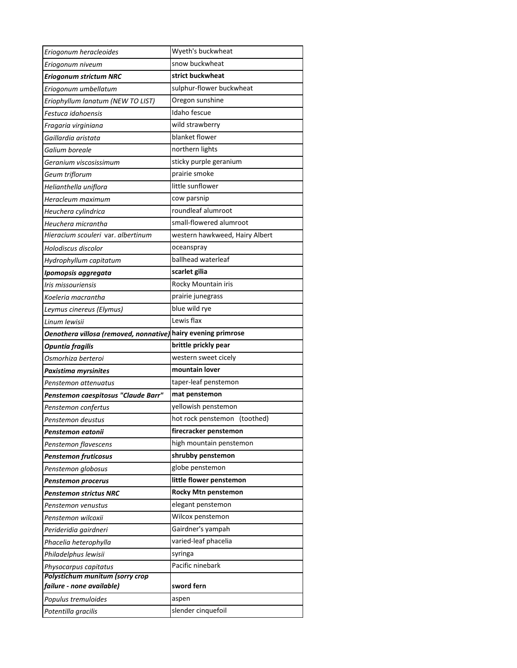| Eriogonum heracleoides                                        | Wyeth's buckwheat              |
|---------------------------------------------------------------|--------------------------------|
| Eriogonum niveum                                              | snow buckwheat                 |
| Eriogonum strictum NRC                                        | strict buckwheat               |
| Eriogonum umbellatum                                          | sulphur-flower buckwheat       |
| Eriophyllum lanatum (NEW TO LIST)                             | Oregon sunshine                |
| Festuca idahoensis                                            | Idaho fescue                   |
| Fragaria virginiana                                           | wild strawberry                |
| Gaillardia aristata                                           | blanket flower                 |
| Galium boreale                                                | northern lights                |
| Geranium viscosissimum                                        | sticky purple geranium         |
| Geum triflorum                                                | prairie smoke                  |
| Helianthella uniflora                                         | little sunflower               |
| Heracleum maximum                                             | cow parsnip                    |
| Heuchera cylindrica                                           | roundleaf alumroot             |
| Heuchera micrantha                                            | small-flowered alumroot        |
| Hieracium scouleri var. albertinum                            | western hawkweed, Hairy Albert |
| Holodiscus discolor                                           | oceanspray                     |
| Hydrophyllum capitatum                                        | ballhead waterleaf             |
| Ipomopsis aggregata                                           | scarlet gilia                  |
| Iris missouriensis                                            | Rocky Mountain iris            |
| Koeleria macrantha                                            | prairie junegrass              |
| Leymus cinereus (Elymus)                                      | blue wild rye                  |
| Linum lewisii                                                 | Lewis flax                     |
| Oenothera villosa (removed, nonnative) hairy evening primrose |                                |
| <b>Opuntia fragilis</b>                                       | brittle prickly pear           |
| Osmorhiza berteroi                                            | western sweet cicely           |
| Paxistima myrsinites                                          | mountain lover                 |
| Penstemon attenuatus                                          | taper-leaf penstemon           |
| Penstemon caespitosus "Claude Barr"                           | mat penstemon                  |
| Penstemon confertus                                           | yellowish penstemon            |
| Penstemon deustus                                             | hot rock penstemon (toothed)   |
| Penstemon eatonii                                             | firecracker penstemon          |
| Penstemon flavescens                                          | high mountain penstemon        |
|                                                               |                                |
| Penstemon fruticosus                                          | shrubby penstemon              |
| Penstemon globosus                                            | globe penstemon                |
| Penstemon procerus                                            | little flower penstemon        |
| Penstemon strictus NRC                                        | <b>Rocky Mtn penstemon</b>     |
| Penstemon venustus                                            | elegant penstemon              |
| Penstemon wilcoxii                                            | Wilcox penstemon               |
| Perideridia gairdneri                                         | Gairdner's yampah              |
| Phacelia heterophylla                                         | varied-leaf phacelia           |
| Philadelphus lewisii                                          | syringa                        |
| Physocarpus capitatus                                         | Pacific ninebark               |
| Polystichum munitum (sorry crop                               |                                |
| failure - none available)<br>Populus tremuloides              | sword fern<br>aspen            |